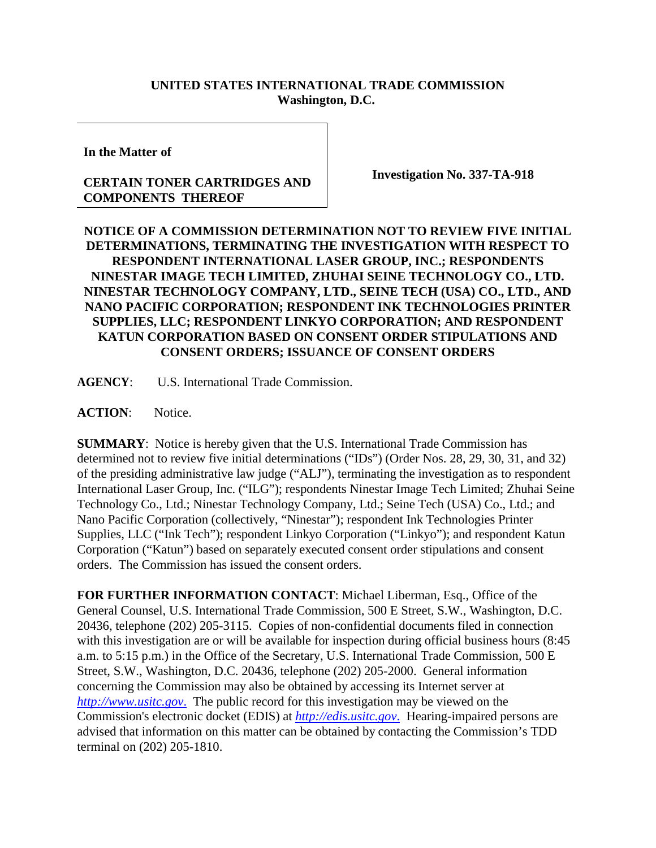## **UNITED STATES INTERNATIONAL TRADE COMMISSION Washington, D.C.**

**In the Matter of**

## **CERTAIN TONER CARTRIDGES AND COMPONENTS THEREOF**

**Investigation No. 337-TA-918**

## **NOTICE OF A COMMISSION DETERMINATION NOT TO REVIEW FIVE INITIAL DETERMINATIONS, TERMINATING THE INVESTIGATION WITH RESPECT TO RESPONDENT INTERNATIONAL LASER GROUP, INC.; RESPONDENTS NINESTAR IMAGE TECH LIMITED, ZHUHAI SEINE TECHNOLOGY CO., LTD. NINESTAR TECHNOLOGY COMPANY, LTD., SEINE TECH (USA) CO., LTD., AND NANO PACIFIC CORPORATION; RESPONDENT INK TECHNOLOGIES PRINTER SUPPLIES, LLC; RESPONDENT LINKYO CORPORATION; AND RESPONDENT KATUN CORPORATION BASED ON CONSENT ORDER STIPULATIONS AND CONSENT ORDERS; ISSUANCE OF CONSENT ORDERS**

**AGENCY**: U.S. International Trade Commission.

ACTION: Notice.

**SUMMARY**: Notice is hereby given that the U.S. International Trade Commission has determined not to review five initial determinations ("IDs") (Order Nos. 28, 29, 30, 31, and 32) of the presiding administrative law judge ("ALJ"), terminating the investigation as to respondent International Laser Group, Inc. ("ILG"); respondents Ninestar Image Tech Limited; Zhuhai Seine Technology Co., Ltd.; Ninestar Technology Company, Ltd.; Seine Tech (USA) Co., Ltd.; and Nano Pacific Corporation (collectively, "Ninestar"); respondent Ink Technologies Printer Supplies, LLC ("Ink Tech"); respondent Linkyo Corporation ("Linkyo"); and respondent Katun Corporation ("Katun") based on separately executed consent order stipulations and consent orders. The Commission has issued the consent orders.

**FOR FURTHER INFORMATION CONTACT**: Michael Liberman, Esq., Office of the General Counsel, U.S. International Trade Commission, 500 E Street, S.W., Washington, D.C. 20436, telephone (202) 205-3115. Copies of non-confidential documents filed in connection with this investigation are or will be available for inspection during official business hours (8:45 a.m. to 5:15 p.m.) in the Office of the Secretary, U.S. International Trade Commission, 500 E Street, S.W., Washington, D.C. 20436, telephone (202) 205-2000. General information concerning the Commission may also be obtained by accessing its Internet server at *http://www.usitc.gov*. The public record for this investigation may be viewed on the Commission's electronic docket (EDIS) at *http://edis.usitc.gov*. Hearing-impaired persons are advised that information on this matter can be obtained by contacting the Commission's TDD terminal on (202) 205-1810.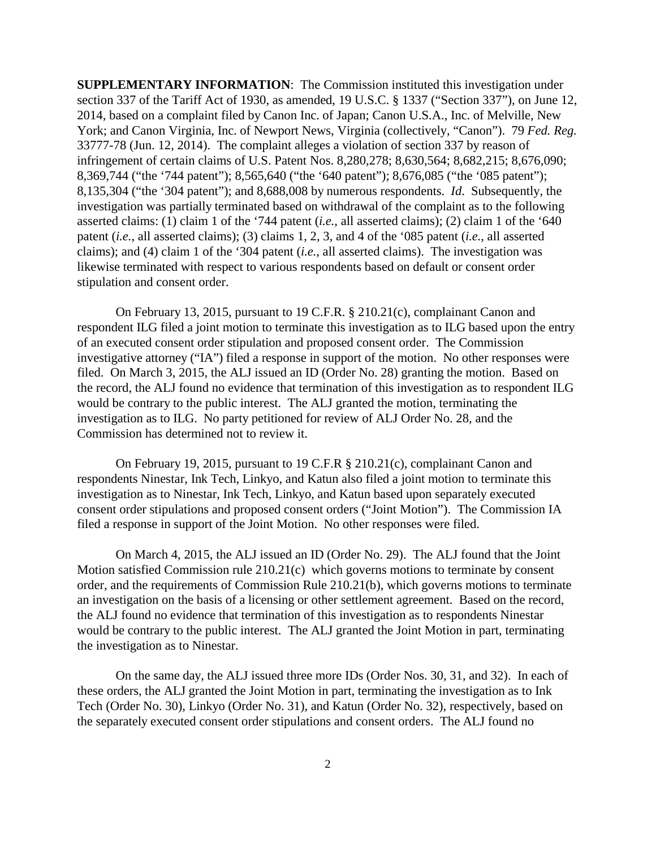**SUPPLEMENTARY INFORMATION**: The Commission instituted this investigation under section 337 of the Tariff Act of 1930, as amended, 19 U.S.C. § 1337 ("Section 337"), on June 12, 2014, based on a complaint filed by Canon Inc. of Japan; Canon U.S.A., Inc. of Melville, New York; and Canon Virginia, Inc. of Newport News, Virginia (collectively, "Canon"). 79 *Fed. Reg.*  33777-78 (Jun. 12, 2014). The complaint alleges a violation of section 337 by reason of infringement of certain claims of U.S. Patent Nos. 8,280,278; 8,630,564; 8,682,215; 8,676,090; 8,369,744 ("the '744 patent"); 8,565,640 ("the '640 patent"); 8,676,085 ("the '085 patent"); 8,135,304 ("the '304 patent"); and 8,688,008 by numerous respondents. *Id*. Subsequently, the investigation was partially terminated based on withdrawal of the complaint as to the following asserted claims: (1) claim 1 of the '744 patent (*i.e.*, all asserted claims); (2) claim 1 of the '640 patent (*i.e.*, all asserted claims); (3) claims 1, 2, 3, and 4 of the '085 patent (*i.e.*, all asserted claims); and (4) claim 1 of the '304 patent (*i.e.*, all asserted claims). The investigation was likewise terminated with respect to various respondents based on default or consent order stipulation and consent order.

On February 13, 2015, pursuant to 19 C.F.R. § 210.21(c), complainant Canon and respondent ILG filed a joint motion to terminate this investigation as to ILG based upon the entry of an executed consent order stipulation and proposed consent order. The Commission investigative attorney ("IA") filed a response in support of the motion. No other responses were filed. On March 3, 2015, the ALJ issued an ID (Order No. 28) granting the motion. Based on the record, the ALJ found no evidence that termination of this investigation as to respondent ILG would be contrary to the public interest. The ALJ granted the motion, terminating the investigation as to ILG. No party petitioned for review of ALJ Order No. 28, and the Commission has determined not to review it.

On February 19, 2015, pursuant to 19 C.F.R § 210.21(c), complainant Canon and respondents Ninestar, Ink Tech, Linkyo, and Katun also filed a joint motion to terminate this investigation as to Ninestar, Ink Tech, Linkyo, and Katun based upon separately executed consent order stipulations and proposed consent orders ("Joint Motion"). The Commission IA filed a response in support of the Joint Motion. No other responses were filed.

On March 4, 2015, the ALJ issued an ID (Order No. 29). The ALJ found that the Joint Motion satisfied Commission rule 210.21(c) which governs motions to terminate by consent order, and the requirements of Commission Rule 210.21(b), which governs motions to terminate an investigation on the basis of a licensing or other settlement agreement. Based on the record, the ALJ found no evidence that termination of this investigation as to respondents Ninestar would be contrary to the public interest. The ALJ granted the Joint Motion in part, terminating the investigation as to Ninestar.

On the same day, the ALJ issued three more IDs (Order Nos. 30, 31, and 32). In each of these orders, the ALJ granted the Joint Motion in part, terminating the investigation as to Ink Tech (Order No. 30), Linkyo (Order No. 31), and Katun (Order No. 32), respectively, based on the separately executed consent order stipulations and consent orders. The ALJ found no